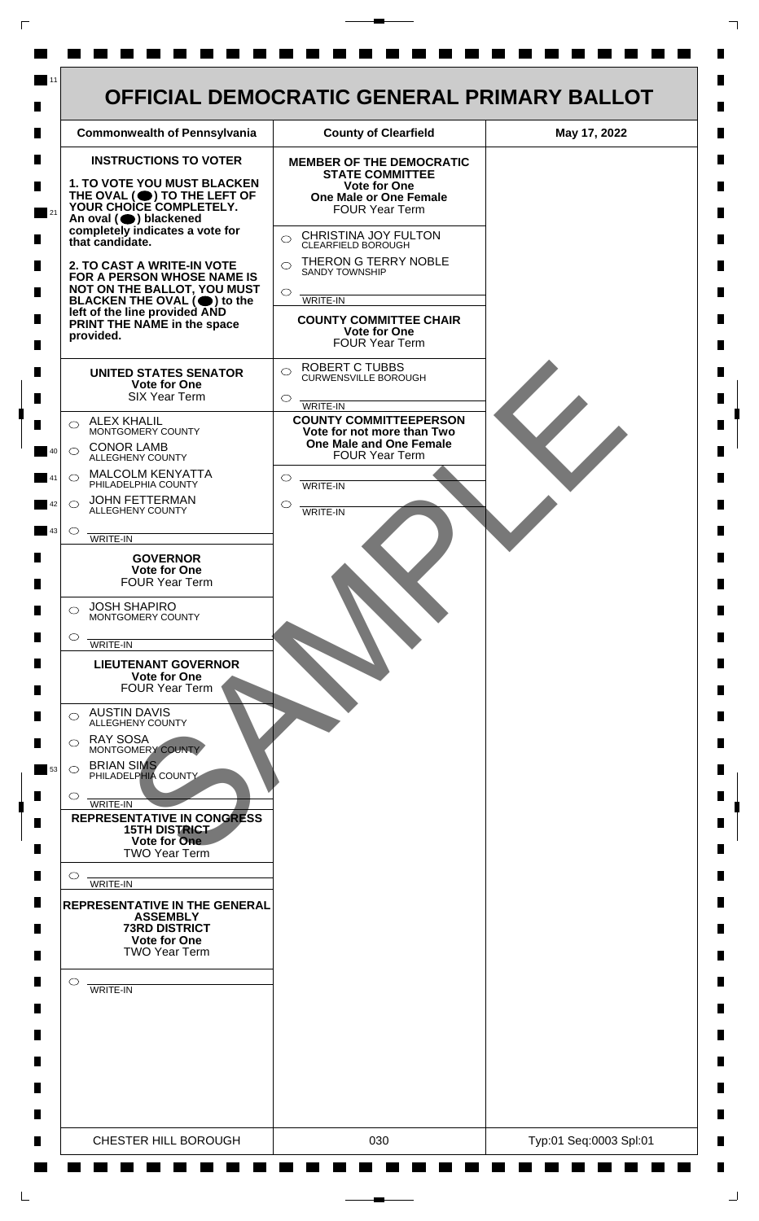| <b>INSTRUCTIONS TO VOTER</b><br><b>MEMBER OF THE DEMOCRATIC</b><br><b>STATE COMMITTEE</b><br><b>1. TO VOTE YOU MUST BLACKEN</b><br><b>Vote for One</b><br>THE OVAL (O) TO THE LEFT OF<br><b>One Male or One Female</b><br>YOUR CHOICE COMPLETELY.<br><b>FOUR Year Term</b><br>An oval (O) blackened<br>completely indicates a vote for<br>CHRISTINA JOY FULTON<br>$\bigcirc$<br>that candidate.<br>CLEARFIELD BOROUGH<br>THERON G TERRY NOBLE<br>$\bigcirc$<br>2. TO CAST A WRITE-IN VOTE<br><b>SANDY TOWNSHIP</b><br>FOR A PERSON WHOSE NAME IS<br>NOT ON THE BALLOT, YOU MUST<br>$\circ$<br>BLACKEN THE OVAL $(\bigcirc)$ to the<br>WRITE-IN<br>left of the line provided AND<br><b>COUNTY COMMITTEE CHAIR</b><br>PRINT THE NAME in the space<br><b>Vote for One</b><br>provided.<br><b>FOUR Year Term</b><br><b>ROBERT C TUBBS</b><br>$\bigcirc$<br><b>UNITED STATES SENATOR</b><br><b>CURWENSVILLE BOROUGH</b><br><b>Vote for One</b><br><b>SIX Year Term</b><br>$\circ$<br><b>WRITE-IN</b><br><b>COUNTY COMMITTEEPERSON</b><br><b>ALEX KHALIL</b><br>◯<br>MONTGOMERY COUNTY<br>Vote for not more than Two<br>One Male and One Female<br><b>CONOR LAMB</b><br>$\bigcirc$<br><b>FOUR Year Term</b><br>ALLEGHENY COUNTY<br>MALCOLM KENYATTA<br>◯<br>$\circ$<br>PHILADELPHIA COUNTY<br><b>WRITE-IN</b><br><b>JOHN FETTERMAN</b><br>$\bigcirc$<br>◯<br>ALLEGHENY COUNTY<br>WRITE-IN<br>$\circ$<br>WRITE-IN<br><b>GOVERNOR</b><br><b>Vote for One</b><br><b>FOUR Year Term</b><br><b>JOSH SHAPIRO</b><br>⌒<br>MONTGOMERY COUNTY<br>$\circ$<br>WRITE-IN<br><b>LIEUTENANT GOVERNOR</b><br><b>Vote for One</b><br><b>FOUR Year Term</b><br><b>AUSTIN DAVIS</b><br>⌒<br><b>ALLEGHENY COUNTY</b><br><b>RAY SOSA</b><br>⌒<br>MONTGOMERY COUNTY<br><b>BRIAN SIMS</b><br>$\circ$<br>PHILADELPHIA COUNTY<br>O<br>WRITE-IN<br><b>REPRESENTATIVE IN CONGRESS</b><br><b>15TH DISTRICT</b><br>Vote for One<br><b>TWO Year Term</b><br>O |
|---------------------------------------------------------------------------------------------------------------------------------------------------------------------------------------------------------------------------------------------------------------------------------------------------------------------------------------------------------------------------------------------------------------------------------------------------------------------------------------------------------------------------------------------------------------------------------------------------------------------------------------------------------------------------------------------------------------------------------------------------------------------------------------------------------------------------------------------------------------------------------------------------------------------------------------------------------------------------------------------------------------------------------------------------------------------------------------------------------------------------------------------------------------------------------------------------------------------------------------------------------------------------------------------------------------------------------------------------------------------------------------------------------------------------------------------------------------------------------------------------------------------------------------------------------------------------------------------------------------------------------------------------------------------------------------------------------------------------------------------------------------------------------------------------------------------------------------------------------------------------------------------------------------------------|
| WRITE-IN<br><b>REPRESENTATIVE IN THE GENERAL</b><br><b>ASSEMBLY</b><br>73RD DISTRICT<br><b>Vote for One</b><br><b>TWO Year Term</b><br>$\circ$<br>WRITE-IN                                                                                                                                                                                                                                                                                                                                                                                                                                                                                                                                                                                                                                                                                                                                                                                                                                                                                                                                                                                                                                                                                                                                                                                                                                                                                                                                                                                                                                                                                                                                                                                                                                                                                                                                                                |

 $\Gamma$ 

 $\Box$ 

 $\perp$ 

٦